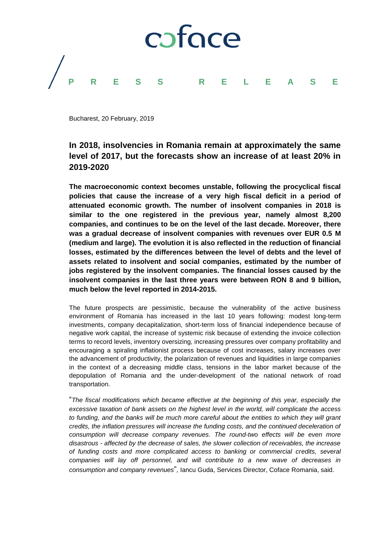

Bucharest, 20 February, 2019

# **In 2018, insolvencies in Romania remain at approximately the same level of 2017, but the forecasts show an increase of at least 20% in 2019-2020**

**The macroeconomic context becomes unstable, following the procyclical fiscal policies that cause the increase of a very high fiscal deficit in a period of attenuated economic growth. The number of insolvent companies in 2018 is similar to the one registered in the previous year, namely almost 8,200 companies, and continues to be on the level of the last decade. Moreover, there was a gradual decrease of insolvent companies with revenues over EUR 0.5 M (medium and large). The evolution it is also reflected in the reduction of financial losses, estimated by the differences between the level of debts and the level of assets related to insolvent and social companies, estimated by the number of jobs registered by the insolvent companies. The financial losses caused by the insolvent companies in the last three years were between RON 8 and 9 billion, much below the level reported in 2014-2015.** 

The future prospects are pessimistic, because the vulnerability of the active business environment of Romania has increased in the last 10 years following: modest long-term investments, company decapitalization, short-term loss of financial independence because of negative work capital, the increase of systemic risk because of extending the invoice collection terms to record levels, inventory oversizing, increasing pressures over company profitability and encouraging a spiraling inflationist process because of cost increases, salary increases over the advancement of productivity, the polarization of revenues and liquidities in large companies in the context of a decreasing middle class, tensions in the labor market because of the depopulation of Romania and the under-development of the national network of road transportation.

"*The fiscal modifications which became effective at the beginning of this year, especially the excessive taxation of bank assets on the highest level in the world, will complicate the access*  to funding, and the banks will be much more careful about the entities to which they will grant *credits, the inflation pressures will increase the funding costs, and the continued deceleration of consumption will decrease company revenues. The round-two effects will be even more disastrous - affected by the decrease of sales, the slower collection of receivables, the increase of funding costs and more complicated access to banking or commercial credits, several companies will lay off personnel, and will contribute to a new wave of decreases in consumption and company revenues*"*,* Iancu Guda, Services Director, Coface Romania, said.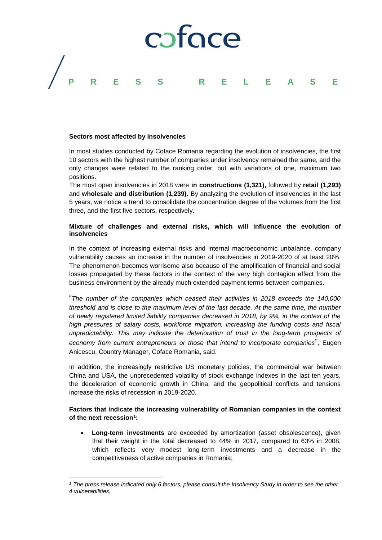

### **Sectors most affected by insolvencies**

 $\overline{a}$ 

In most studies conducted by Coface Romania regarding the evolution of insolvencies, the first 10 sectors with the highest number of companies under insolvency remained the same, and the only changes were related to the ranking order, but with variations of one, maximum two positions.

The most open insolvencies in 2018 were **in constructions (1,321),** followed by **retail (1,293)** and **wholesale and distribution (1,239).** By analyzing the evolution of insolvencies in the last 5 years, we notice a trend to consolidate the concentration degree of the volumes from the first three, and the first five sectors, respectively.

## **Mixture of challenges and external risks, which will influence the evolution of insolvencies**

In the context of increasing external risks and internal macroeconomic unbalance, company vulnerability causes an increase in the number of insolvencies in 2019-2020 of at least 20%. The phenomenon becomes worrisome also because of the amplification of financial and social losses propagated by these factors in the context of the very high contagion effect from the business environment by the already much extended payment terms between companies.

"*The number of the companies which ceased their activities in 2018 exceeds the 140,000 threshold and is close to the maximum level of the last decade. At the same time, the number of newly registered limited liability companies decreased in 2018, by 9%, in the context of the high pressures of salary costs, workforce migration, increasing the funding costs and fiscal unpredictability. This may indicate the deterioration of trust in the long-term prospects of economy from current entrepreneurs or those that intend to incorporate companies*"*,* Eugen Anicescu, Country Manager, Coface Romania, said.

In addition, the increasingly restrictive US monetary policies, the commercial war between China and USA, the unprecedented volatility of stock exchange indexes in the last ten years, the deceleration of economic growth in China, and the geopolitical conflicts and tensions increase the risks of recession in 2019-2020.

# **Factors that indicate the increasing vulnerability of Romanian companies in the context of the next recession<sup>1</sup> :**

 **Long-term investments** are exceeded by amortization (asset obsolescence), given that their weight in the total decreased to 44% in 2017, compared to 63% in 2008, which reflects very modest long-term investments and a decrease in the competitiveness of active companies in Romania;

*<sup>1</sup> The press release indicated only 6 factors, please consult the Insolvency Study in order to see the other 4 vulnerabilities.*